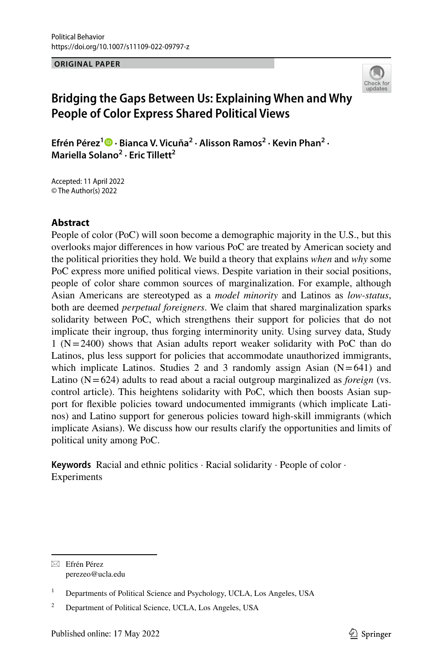**ORIGINAL PAPER**



# **Bridging the Gaps Between Us: Explaining When and Why People of Color Express Shared Political Views**

Efrén Pérez<sup>1</sup><sup>®</sup> [·](http://orcid.org/0000-0003-4952-5089) Bianca V. Vicuña<sup>2</sup> · Alisson Ramos<sup>2</sup> · Kevin Phan<sup>2</sup> · **Mariella Solano<sup>2</sup> · Eric Tillett2**

Accepted: 11 April 2022 © The Author(s) 2022

#### **Abstract**

People of color (PoC) will soon become a demographic majority in the U.S., but this overlooks major diferences in how various PoC are treated by American society and the political priorities they hold. We build a theory that explains *when* and *why* some PoC express more unifed political views. Despite variation in their social positions, people of color share common sources of marginalization. For example, although Asian Americans are stereotyped as a *model minority* and Latinos as *low-status*, both are deemed *perpetual foreigners*. We claim that shared marginalization sparks solidarity between PoC, which strengthens their support for policies that do not implicate their ingroup, thus forging interminority unity. Using survey data, Study 1 (N=2400) shows that Asian adults report weaker solidarity with PoC than do Latinos, plus less support for policies that accommodate unauthorized immigrants, which implicate Latinos. Studies 2 and 3 randomly assign Asian  $(N=641)$  and Latino (N=624) adults to read about a racial outgroup marginalized as *foreign* (vs. control article). This heightens solidarity with PoC, which then boosts Asian support for fexible policies toward undocumented immigrants (which implicate Latinos) and Latino support for generous policies toward high-skill immigrants (which implicate Asians). We discuss how our results clarify the opportunities and limits of political unity among PoC.

**Keywords** Racial and ethnic politics · Racial solidarity · People of color · Experiments

 $\boxtimes$  Efrén Pérez perezeo@ucla.edu

<sup>&</sup>lt;sup>1</sup> Departments of Political Science and Psychology, UCLA, Los Angeles, USA

<sup>&</sup>lt;sup>2</sup> Department of Political Science, UCLA, Los Angeles, USA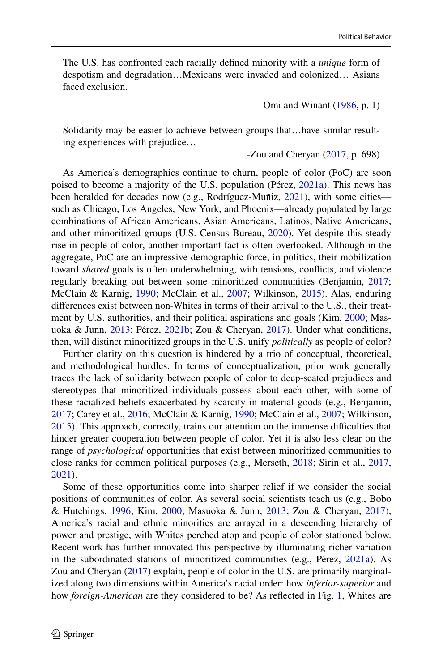The U.S. has confronted each racially defned minority with a *unique* form of despotism and degradation…Mexicans were invaded and colonized… Asians faced exclusion.

-Omi and Winant  $(1986, p. 1)$  $(1986, p. 1)$  $(1986, p. 1)$ 

Solidarity may be easier to achieve between groups that…have similar resulting experiences with prejudice…

-Zou and Cheryan  $(2017, p. 698)$  $(2017, p. 698)$  $(2017, p. 698)$ 

As America's demographics continue to churn, people of color (PoC) are soon poised to become a majority of the U.S. population (Pérez, [2021a](#page-21-1)). This news has been heralded for decades now (e.g., Rodríguez-Muñiz, [2021](#page-21-2)), with some cities such as Chicago, Los Angeles, New York, and Phoenix—already populated by large combinations of African Americans, Asian Americans, Latinos, Native Americans, and other minoritized groups (U.S. Census Bureau, [2020\)](#page-22-1). Yet despite this steady rise in people of color, another important fact is often overlooked. Although in the aggregate, PoC are an impressive demographic force, in politics, their mobilization toward *shared* goals is often underwhelming, with tensions, conficts, and violence regularly breaking out between some minoritized communities (Benjamin, [2017;](#page-19-0) McClain & Karnig, [1990;](#page-20-0) McClain et al., [2007](#page-20-1); Wilkinson, [2015](#page-21-3)). Alas, enduring diferences exist between non-Whites in terms of their arrival to the U.S., their treatment by U.S. authorities, and their political aspirations and goals (Kim, [2000](#page-20-2); Masuoka & Junn, [2013](#page-20-3); Pérez, [2021b](#page-21-4); Zou & Cheryan, [2017](#page-22-0)). Under what conditions, then, will distinct minoritized groups in the U.S. unify *politically* as people of color?

Further clarity on this question is hindered by a trio of conceptual, theoretical, and methodological hurdles. In terms of conceptualization, prior work generally traces the lack of solidarity between people of color to deep-seated prejudices and stereotypes that minoritized individuals possess about each other, with some of these racialized beliefs exacerbated by scarcity in material goods (e.g., Benjamin, [2017](#page-19-0); Carey et al., [2016;](#page-20-4) McClain & Karnig, [1990](#page-20-0); McClain et al., [2007](#page-20-1); Wilkinson, [2015](#page-21-3)). This approach, correctly, trains our attention on the immense difculties that hinder greater cooperation between people of color. Yet it is also less clear on the range of *psychological* opportunities that exist between minoritized communities to close ranks for common political purposes (e.g., Merseth, [2018;](#page-21-5) Sirin et al., [2017,](#page-21-6) [2021](#page-21-7)).

Some of these opportunities come into sharper relief if we consider the social positions of communities of color. As several social scientists teach us (e.g., Bobo & Hutchings, [1996;](#page-19-1) Kim, [2000;](#page-20-2) Masuoka & Junn, [2013](#page-20-3); Zou & Cheryan, [2017\)](#page-22-0), America's racial and ethnic minorities are arrayed in a descending hierarchy of power and prestige, with Whites perched atop and people of color stationed below. Recent work has further innovated this perspective by illuminating richer variation in the subordinated stations of minoritized communities (e.g., Pérez, [2021a](#page-21-1)). As Zou and Cheryan [\(2017](#page-22-0)) explain, people of color in the U.S. are primarily marginalized along two dimensions within America's racial order: how *inferior-superior* and how *foreign-American* are they considered to be? As refected in Fig. [1](#page-2-0), Whites are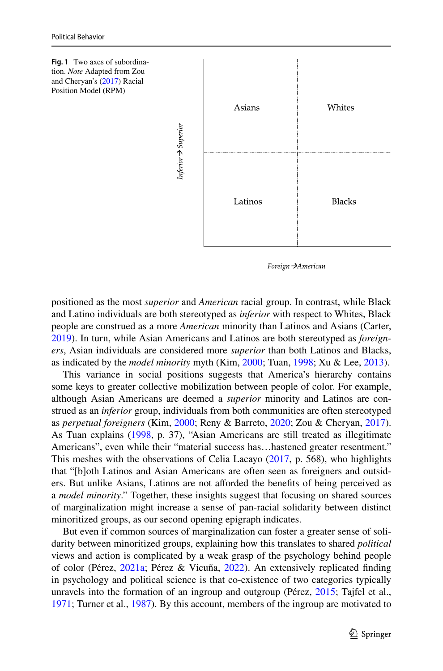<span id="page-2-0"></span>



Foreign ->American

positioned as the most *superior* and *American* racial group. In contrast, while Black and Latino individuals are both stereotyped as *inferior* with respect to Whites, Black people are construed as a more *American* minority than Latinos and Asians (Carter, [2019](#page-20-5)). In turn, while Asian Americans and Latinos are both stereotyped as *foreigners*, Asian individuals are considered more *superior* than both Latinos and Blacks, as indicated by the *model minority* myth (Kim, [2000;](#page-20-2) Tuan, [1998](#page-21-8); Xu & Lee, [2013](#page-21-9)).

This variance in social positions suggests that America's hierarchy contains some keys to greater collective mobilization between people of color. For example, although Asian Americans are deemed a *superior* minority and Latinos are construed as an *inferior* group, individuals from both communities are often stereotyped as *perpetual foreigners* (Kim, [2000](#page-20-2); Reny & Barreto, [2020](#page-21-10); Zou & Cheryan, [2017\)](#page-22-0). As Tuan explains [\(1998](#page-21-8), p. 37), "Asian Americans are still treated as illegitimate Americans", even while their "material success has...hastened greater resentment." This meshes with the observations of Celia Lacayo [\(2017](#page-20-6), p. 568), who highlights that "[b]oth Latinos and Asian Americans are often seen as foreigners and outsiders. But unlike Asians, Latinos are not aforded the benefts of being perceived as a *model minority*." Together, these insights suggest that focusing on shared sources of marginalization might increase a sense of pan-racial solidarity between distinct minoritized groups, as our second opening epigraph indicates.

But even if common sources of marginalization can foster a greater sense of solidarity between minoritized groups, explaining how this translates to shared *political* views and action is complicated by a weak grasp of the psychology behind people of color (Pérez, [2021a;](#page-21-1) Pérez & Vicuña, [2022\)](#page-22-2). An extensively replicated fnding in psychology and political science is that co-existence of two categories typically unravels into the formation of an ingroup and outgroup (Pérez, [2015;](#page-21-11) Tajfel et al., [1971](#page-21-12); Turner et al., [1987](#page-21-13)). By this account, members of the ingroup are motivated to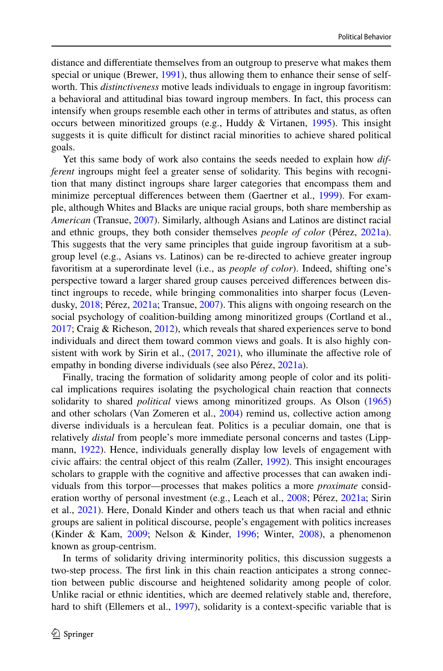distance and diferentiate themselves from an outgroup to preserve what makes them special or unique (Brewer, [1991\)](#page-19-2), thus allowing them to enhance their sense of selfworth. This *distinctiveness* motive leads individuals to engage in ingroup favoritism: a behavioral and attitudinal bias toward ingroup members. In fact, this process can intensify when groups resemble each other in terms of attributes and status, as often occurs between minoritized groups (e.g., Huddy & Virtanen, [1995](#page-20-7)). This insight suggests it is quite difficult for distinct racial minorities to achieve shared political goals.

Yet this same body of work also contains the seeds needed to explain how *different* ingroups might feel a greater sense of solidarity. This begins with recognition that many distinct ingroups share larger categories that encompass them and minimize perceptual diferences between them (Gaertner et al., [1999](#page-20-8)). For example, although Whites and Blacks are unique racial groups, both share membership as *American* (Transue, [2007\)](#page-21-14). Similarly, although Asians and Latinos are distinct racial and ethnic groups, they both consider themselves *people of color* (Pérez, [2021a\)](#page-21-1). This suggests that the very same principles that guide ingroup favoritism at a subgroup level (e.g., Asians vs. Latinos) can be re-directed to achieve greater ingroup favoritism at a superordinate level (i.e., as *people of color*). Indeed, shifting one's perspective toward a larger shared group causes perceived diferences between distinct ingroups to recede, while bringing commonalities into sharper focus (Levendusky, [2018](#page-20-9); Pérez, [2021a;](#page-21-1) Transue, [2007\)](#page-21-14). This aligns with ongoing research on the social psychology of coalition-building among minoritized groups (Cortland et al., [2017](#page-20-10); Craig & Richeson, [2012](#page-20-11)), which reveals that shared experiences serve to bond individuals and direct them toward common views and goals. It is also highly consistent with work by Sirin et al.,  $(2017, 2021)$  $(2017, 2021)$  $(2017, 2021)$  $(2017, 2021)$ , who illuminate the affective role of empathy in bonding diverse individuals (see also Pérez, [2021a](#page-21-1)).

Finally, tracing the formation of solidarity among people of color and its political implications requires isolating the psychological chain reaction that connects solidarity to shared *political* views among minoritized groups. As Olson [\(1965](#page-21-15)) and other scholars (Van Zomeren et al., [2004\)](#page-21-16) remind us, collective action among diverse individuals is a herculean feat. Politics is a peculiar domain, one that is relatively *distal* from people's more immediate personal concerns and tastes (Lippmann, [1922](#page-22-3)). Hence, individuals generally display low levels of engagement with civic afairs: the central object of this realm (Zaller, [1992\)](#page-21-17). This insight encourages scholars to grapple with the cognitive and afective processes that can awaken individuals from this torpor—processes that makes politics a more *proximate* consid-eration worthy of personal investment (e.g., Leach et al., [2008;](#page-20-12) Pérez, [2021a;](#page-21-1) Sirin et al., [2021](#page-21-7)). Here, Donald Kinder and others teach us that when racial and ethnic groups are salient in political discourse, people's engagement with politics increases (Kinder & Kam, [2009](#page-20-13); Nelson & Kinder, [1996](#page-21-18); Winter, [2008\)](#page-21-19), a phenomenon known as group-centrism.

In terms of solidarity driving interminority politics, this discussion suggests a two-step process. The frst link in this chain reaction anticipates a strong connection between public discourse and heightened solidarity among people of color. Unlike racial or ethnic identities, which are deemed relatively stable and, therefore, hard to shift (Ellemers et al., [1997\)](#page-20-14), solidarity is a context-specific variable that is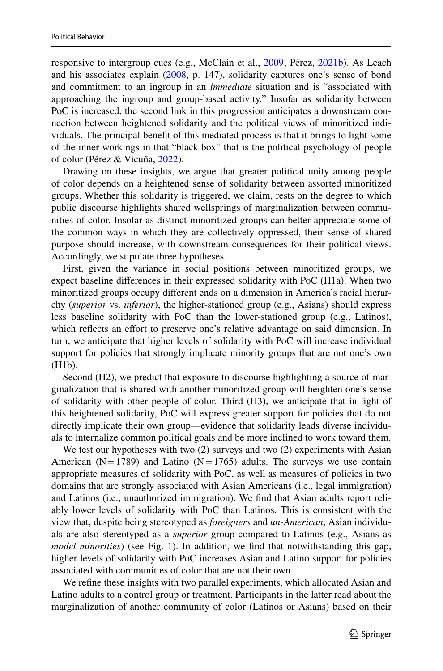responsive to intergroup cues (e.g., McClain et al., [2009;](#page-21-20) Pérez, [2021b\)](#page-21-4). As Leach and his associates explain ([2008,](#page-20-12) p. 147), solidarity captures one's sense of bond and commitment to an ingroup in an *immediate* situation and is "associated with approaching the ingroup and group-based activity." Insofar as solidarity between PoC is increased, the second link in this progression anticipates a downstream connection between heightened solidarity and the political views of minoritized individuals. The principal beneft of this mediated process is that it brings to light some of the inner workings in that "black box" that is the political psychology of people of color (Pérez & Vicuña, [2022\)](#page-22-2).

Drawing on these insights, we argue that greater political unity among people of color depends on a heightened sense of solidarity between assorted minoritized groups. Whether this solidarity is triggered, we claim, rests on the degree to which public discourse highlights shared wellsprings of marginalization between communities of color. Insofar as distinct minoritized groups can better appreciate some of the common ways in which they are collectively oppressed, their sense of shared purpose should increase, with downstream consequences for their political views. Accordingly, we stipulate three hypotheses.

First, given the variance in social positions between minoritized groups, we expect baseline diferences in their expressed solidarity with PoC (H1a). When two minoritized groups occupy diferent ends on a dimension in America's racial hierarchy (*superior* vs. *inferior*), the higher-stationed group (e.g., Asians) should express less baseline solidarity with PoC than the lower-stationed group (e.g., Latinos), which reflects an effort to preserve one's relative advantage on said dimension. In turn, we anticipate that higher levels of solidarity with PoC will increase individual support for policies that strongly implicate minority groups that are not one's own (H1b).

Second (H2), we predict that exposure to discourse highlighting a source of marginalization that is shared with another minoritized group will heighten one's sense of solidarity with other people of color. Third (H3), we anticipate that in light of this heightened solidarity, PoC will express greater support for policies that do not directly implicate their own group—evidence that solidarity leads diverse individuals to internalize common political goals and be more inclined to work toward them.

We test our hypotheses with two (2) surveys and two (2) experiments with Asian American ( $N=1789$ ) and Latino ( $N=1765$ ) adults. The surveys we use contain appropriate measures of solidarity with PoC, as well as measures of policies in two domains that are strongly associated with Asian Americans (i.e., legal immigration) and Latinos (i.e., unauthorized immigration). We fnd that Asian adults report reliably lower levels of solidarity with PoC than Latinos. This is consistent with the view that, despite being stereotyped as *foreigners* and *un-American*, Asian individuals are also stereotyped as a *superior* group compared to Latinos (e.g., Asians as *model minorities*) (see Fig. [1](#page-2-0)). In addition, we fnd that notwithstanding this gap, higher levels of solidarity with PoC increases Asian and Latino support for policies associated with communities of color that are not their own.

We refine these insights with two parallel experiments, which allocated Asian and Latino adults to a control group or treatment. Participants in the latter read about the marginalization of another community of color (Latinos or Asians) based on their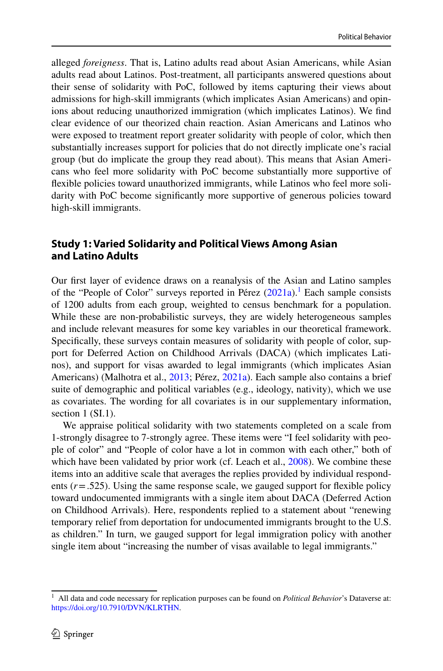alleged *foreigness*. That is, Latino adults read about Asian Americans, while Asian adults read about Latinos. Post-treatment, all participants answered questions about their sense of solidarity with PoC, followed by items capturing their views about admissions for high-skill immigrants (which implicates Asian Americans) and opinions about reducing unauthorized immigration (which implicates Latinos). We fnd clear evidence of our theorized chain reaction. Asian Americans and Latinos who were exposed to treatment report greater solidarity with people of color, which then substantially increases support for policies that do not directly implicate one's racial group (but do implicate the group they read about). This means that Asian Americans who feel more solidarity with PoC become substantially more supportive of fexible policies toward unauthorized immigrants, while Latinos who feel more solidarity with PoC become signifcantly more supportive of generous policies toward high-skill immigrants.

### **Study 1: Varied Solidarity and Political Views Among Asian and Latino Adults**

Our frst layer of evidence draws on a reanalysis of the Asian and Latino samples of the "People of Color" surveys reported in Pérez  $(2021a)$  $(2021a)$ . Each sample consists of 1200 adults from each group, weighted to census benchmark for a population. While these are non-probabilistic surveys, they are widely heterogeneous samples and include relevant measures for some key variables in our theoretical framework. Specifcally, these surveys contain measures of solidarity with people of color, support for Deferred Action on Childhood Arrivals (DACA) (which implicates Latinos), and support for visas awarded to legal immigrants (which implicates Asian Americans) (Malhotra et al., [2013;](#page-20-15) Pérez, [2021a](#page-21-1)). Each sample also contains a brief suite of demographic and political variables (e.g., ideology, nativity), which we use as covariates. The wording for all covariates is in our supplementary information, section 1 (SI.1).

We appraise political solidarity with two statements completed on a scale from 1-strongly disagree to 7-strongly agree. These items were "I feel solidarity with people of color" and "People of color have a lot in common with each other," both of which have been validated by prior work (cf. Leach et al., [2008\)](#page-20-12). We combine these items into an additive scale that averages the replies provided by individual respondents  $(r = .525)$ . Using the same response scale, we gauged support for flexible policy toward undocumented immigrants with a single item about DACA (Deferred Action on Childhood Arrivals). Here, respondents replied to a statement about "renewing temporary relief from deportation for undocumented immigrants brought to the U.S. as children." In turn, we gauged support for legal immigration policy with another single item about "increasing the number of visas available to legal immigrants."

<span id="page-5-0"></span><sup>1</sup> All data and code necessary for replication purposes can be found on *Political Behavior*'s Dataverse at: [https://doi.org/10.7910/DVN/KLRTHN.](https://doi.org/10.7910/DVN/KLRTHN)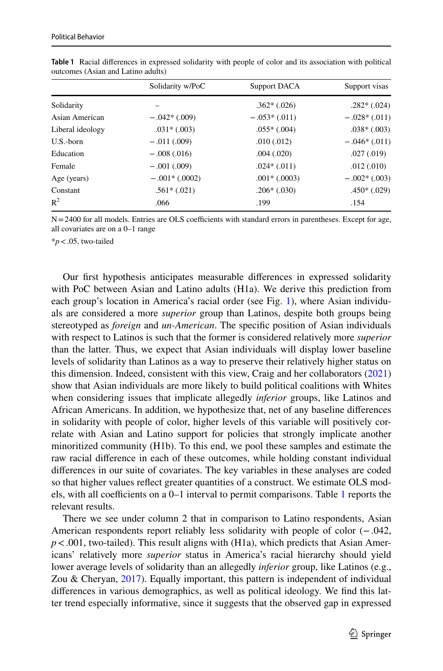|                  | Solidarity w/PoC | Support DACA      | Support visas  |
|------------------|------------------|-------------------|----------------|
| Solidarity       |                  | $.362*(.026)$     | $.282*(.024)$  |
| Asian American   | $-.042*(.009)$   | $-.053*(.011)$    | $-.028*(.011)$ |
| Liberal ideology | $.031*(.003)$    | $.055*(.004)$     | $.038*(.003)$  |
| $U.S.-born$      | $-.011(.009)$    | .010(.012)        | $-.046*(.011)$ |
| Education        | $-.008(.016)$    | .004(.020)        | .027(.019)     |
| Female           | $-.001(.009)$    | $.024*(.011)$     | .012(.010)     |
| Age (years)      | $-.001*(.0002)$  | $.001*$ $(.0003)$ | $-.002*(.003)$ |
| Constant         | $.561*(.021)$    | $.206*(.030)$     | $.450*(.029)$  |
| $R^2$            | .066             | .199              | .154           |

<span id="page-6-0"></span>**Table 1** Racial diferences in expressed solidarity with people of color and its association with political outcomes (Asian and Latino adults)

 $N=2400$  for all models. Entries are OLS coefficients with standard errors in parentheses. Except for age, all covariates are on a 0–1 range

\**p*<.05, two-tailed

Our frst hypothesis anticipates measurable diferences in expressed solidarity with PoC between Asian and Latino adults (H1a). We derive this prediction from each group's location in America's racial order (see Fig. [1\)](#page-2-0), where Asian individuals are considered a more *superior* group than Latinos, despite both groups being stereotyped as *foreign* and *un-American*. The specifc position of Asian individuals with respect to Latinos is such that the former is considered relatively more *superior* than the latter. Thus, we expect that Asian individuals will display lower baseline levels of solidarity than Latinos as a way to preserve their relatively higher status on this dimension. Indeed, consistent with this view, Craig and her collaborators [\(2021](#page-20-16)) show that Asian individuals are more likely to build political coalitions with Whites when considering issues that implicate allegedly *inferior* groups, like Latinos and African Americans. In addition, we hypothesize that, net of any baseline diferences in solidarity with people of color, higher levels of this variable will positively correlate with Asian and Latino support for policies that strongly implicate another minoritized community (H1b). To this end, we pool these samples and estimate the raw racial diference in each of these outcomes, while holding constant individual diferences in our suite of covariates. The key variables in these analyses are coded so that higher values refect greater quantities of a construct. We estimate OLS models, with all coefficients on a  $0-1$  interval to permit comparisons. Table [1](#page-6-0) reports the relevant results.

There we see under column 2 that in comparison to Latino respondents, Asian American respondents report reliably less solidarity with people of color (−.042,  $p < .001$ , two-tailed). This result aligns with (H1a), which predicts that Asian Americans' relatively more *superior* status in America's racial hierarchy should yield lower average levels of solidarity than an allegedly *inferior* group, like Latinos (e.g., Zou & Cheryan, [2017](#page-22-0)). Equally important, this pattern is independent of individual diferences in various demographics, as well as political ideology. We fnd this latter trend especially informative, since it suggests that the observed gap in expressed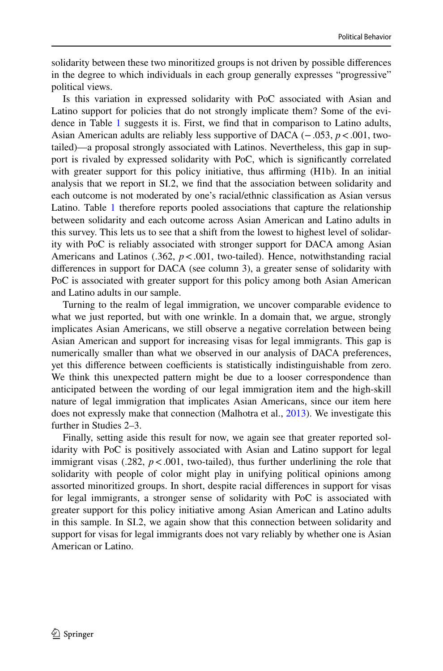solidarity between these two minoritized groups is not driven by possible diferences in the degree to which individuals in each group generally expresses "progressive" political views.

Is this variation in expressed solidarity with PoC associated with Asian and Latino support for policies that do not strongly implicate them? Some of the evidence in Table [1](#page-6-0) suggests it is. First, we fnd that in comparison to Latino adults, Asian American adults are reliably less supportive of DACA (−.053, *p*<.001, twotailed)—a proposal strongly associated with Latinos. Nevertheless, this gap in support is rivaled by expressed solidarity with PoC, which is signifcantly correlated with greater support for this policy initiative, thus affirming (H1b). In an initial analysis that we report in SI.2, we fnd that the association between solidarity and each outcome is not moderated by one's racial/ethnic classifcation as Asian versus Latino. Table [1](#page-6-0) therefore reports pooled associations that capture the relationship between solidarity and each outcome across Asian American and Latino adults in this survey. This lets us to see that a shift from the lowest to highest level of solidarity with PoC is reliably associated with stronger support for DACA among Asian Americans and Latinos  $(.362, p < .001,$  two-tailed). Hence, notwithstanding racial diferences in support for DACA (see column 3), a greater sense of solidarity with PoC is associated with greater support for this policy among both Asian American and Latino adults in our sample.

Turning to the realm of legal immigration, we uncover comparable evidence to what we just reported, but with one wrinkle. In a domain that, we argue, strongly implicates Asian Americans, we still observe a negative correlation between being Asian American and support for increasing visas for legal immigrants. This gap is numerically smaller than what we observed in our analysis of DACA preferences, yet this difference between coefficients is statistically indistinguishable from zero. We think this unexpected pattern might be due to a looser correspondence than anticipated between the wording of our legal immigration item and the high-skill nature of legal immigration that implicates Asian Americans, since our item here does not expressly make that connection (Malhotra et al., [2013\)](#page-20-15). We investigate this further in Studies 2–3.

Finally, setting aside this result for now, we again see that greater reported solidarity with PoC is positively associated with Asian and Latino support for legal immigrant visas  $(.282, p < .001,$  two-tailed), thus further underlining the role that solidarity with people of color might play in unifying political opinions among assorted minoritized groups. In short, despite racial diferences in support for visas for legal immigrants, a stronger sense of solidarity with PoC is associated with greater support for this policy initiative among Asian American and Latino adults in this sample. In SI.2, we again show that this connection between solidarity and support for visas for legal immigrants does not vary reliably by whether one is Asian American or Latino.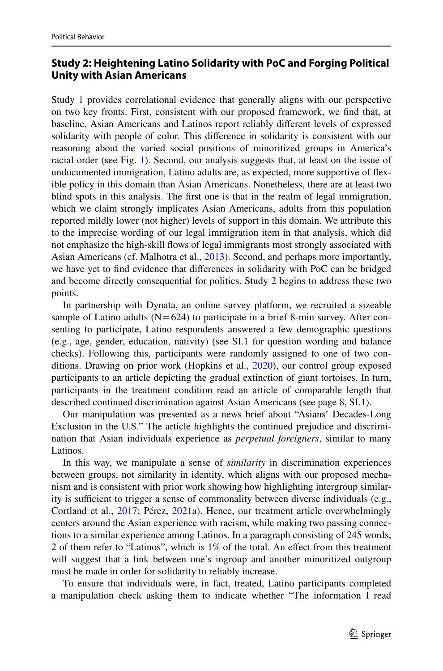## **Study 2: Heightening Latino Solidarity with PoC and Forging Political Unity with Asian Americans**

Study 1 provides correlational evidence that generally aligns with our perspective on two key fronts. First, consistent with our proposed framework, we fnd that, at baseline, Asian Americans and Latinos report reliably diferent levels of expressed solidarity with people of color. This diference in solidarity is consistent with our reasoning about the varied social positions of minoritized groups in America's racial order (see Fig. [1\)](#page-2-0). Second, our analysis suggests that, at least on the issue of undocumented immigration, Latino adults are, as expected, more supportive of fexible policy in this domain than Asian Americans. Nonetheless, there are at least two blind spots in this analysis. The frst one is that in the realm of legal immigration, which we claim strongly implicates Asian Americans, adults from this population reported mildly lower (not higher) levels of support in this domain. We attribute this to the imprecise wording of our legal immigration item in that analysis, which did not emphasize the high-skill fows of legal immigrants most strongly associated with Asian Americans (cf. Malhotra et al., [2013\)](#page-20-15). Second, and perhaps more importantly, we have yet to fnd evidence that diferences in solidarity with PoC can be bridged and become directly consequential for politics. Study 2 begins to address these two points.

In partnership with Dynata, an online survey platform, we recruited a sizeable sample of Latino adults ( $N=624$ ) to participate in a brief 8-min survey. After consenting to participate, Latino respondents answered a few demographic questions (e.g., age, gender, education, nativity) (see SI.1 for question wording and balance checks). Following this, participants were randomly assigned to one of two conditions. Drawing on prior work (Hopkins et al., [2020\)](#page-20-17), our control group exposed participants to an article depicting the gradual extinction of giant tortoises. In turn, participants in the treatment condition read an article of comparable length that described continued discrimination against Asian Americans (see page 8, SI.1).

Our manipulation was presented as a news brief about "Asians' Decades-Long Exclusion in the U.S." The article highlights the continued prejudice and discrimination that Asian individuals experience as *perpetual foreigners*, similar to many Latinos.

In this way, we manipulate a sense of *similarity* in discrimination experiences between groups, not similarity in identity, which aligns with our proposed mechanism and is consistent with prior work showing how highlighting intergroup similarity is sufficient to trigger a sense of commonality between diverse individuals (e.g., Cortland et al., [2017](#page-20-10); Pérez, [2021a](#page-21-1)). Hence, our treatment article overwhelmingly centers around the Asian experience with racism, while making two passing connections to a similar experience among Latinos. In a paragraph consisting of 245 words, 2 of them refer to "Latinos", which is 1% of the total. An efect from this treatment will suggest that a link between one's ingroup and another minoritized outgroup must be made in order for solidarity to reliably increase.

To ensure that individuals were, in fact, treated, Latino participants completed a manipulation check asking them to indicate whether "The information I read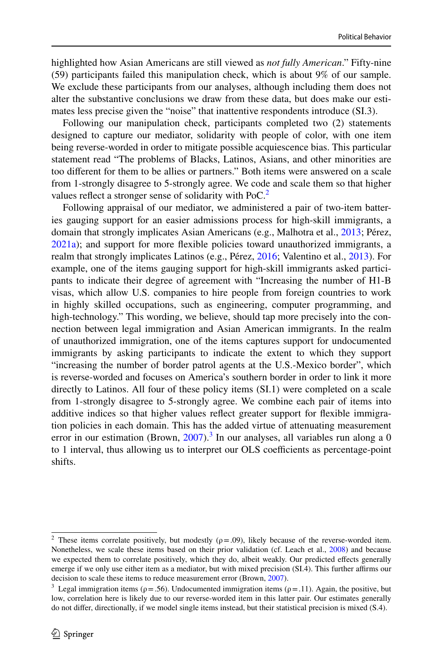highlighted how Asian Americans are still viewed as *not fully American*." Fifty-nine (59) participants failed this manipulation check, which is about 9% of our sample. We exclude these participants from our analyses, although including them does not alter the substantive conclusions we draw from these data, but does make our estimates less precise given the "noise" that inattentive respondents introduce (SI.3).

Following our manipulation check, participants completed two (2) statements designed to capture our mediator, solidarity with people of color, with one item being reverse-worded in order to mitigate possible acquiescence bias. This particular statement read "The problems of Blacks, Latinos, Asians, and other minorities are too diferent for them to be allies or partners." Both items were answered on a scale from 1-strongly disagree to 5-strongly agree. We code and scale them so that higher values reflect a stronger sense of solidarity with PoC.<sup>[2](#page-9-0)</sup>

Following appraisal of our mediator, we administered a pair of two-item batteries gauging support for an easier admissions process for high-skill immigrants, a domain that strongly implicates Asian Americans (e.g., Malhotra et al., [2013](#page-20-15); Pérez, [2021a](#page-21-1)); and support for more fexible policies toward unauthorized immigrants, a realm that strongly implicates Latinos (e.g., Pérez, [2016](#page-21-21); Valentino et al., [2013](#page-21-22)). For example, one of the items gauging support for high-skill immigrants asked participants to indicate their degree of agreement with "Increasing the number of H1-B visas, which allow U.S. companies to hire people from foreign countries to work in highly skilled occupations, such as engineering, computer programming, and high-technology." This wording, we believe, should tap more precisely into the connection between legal immigration and Asian American immigrants. In the realm of unauthorized immigration, one of the items captures support for undocumented immigrants by asking participants to indicate the extent to which they support "increasing the number of border patrol agents at the U.S.-Mexico border", which is reverse-worded and focuses on America's southern border in order to link it more directly to Latinos. All four of these policy items (SI.1) were completed on a scale from 1-strongly disagree to 5-strongly agree. We combine each pair of items into additive indices so that higher values refect greater support for fexible immigration policies in each domain. This has the added virtue of attenuating measurement error in our estimation (Brown,  $2007$ ).<sup>[3](#page-9-1)</sup> In our analyses, all variables run along a 0 to 1 interval, thus allowing us to interpret our OLS coefficients as percentage-point shifts.

<span id="page-9-0"></span><sup>&</sup>lt;sup>2</sup> These items correlate positively, but modestly ( $\rho$  = .09), likely because of the reverse-worded item. Nonetheless, we scale these items based on their prior validation (cf. Leach et al., [2008\)](#page-20-12) and because we expected them to correlate positively, which they do, albeit weakly. Our predicted efects generally emerge if we only use either item as a mediator, but with mixed precision (SI.4). This further affirms our decision to scale these items to reduce measurement error (Brown, [2007\)](#page-19-3).

<span id="page-9-1"></span><sup>&</sup>lt;sup>3</sup> Legal immigration items ( $\rho$  = .56). Undocumented immigration items ( $\rho$  = .11). Again, the positive, but low, correlation here is likely due to our reverse-worded item in this latter pair. Our estimates generally do not difer, directionally, if we model single items instead, but their statistical precision is mixed (S.4).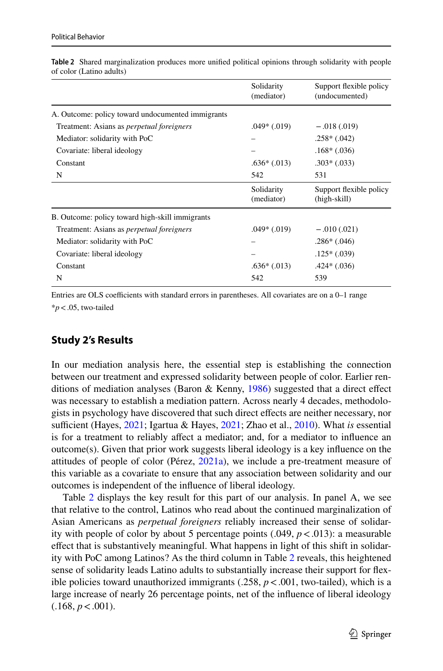|                                                   | Solidarity<br>(mediator) | Support flexible policy<br>(undocumented) |
|---------------------------------------------------|--------------------------|-------------------------------------------|
| A. Outcome: policy toward undocumented immigrants |                          |                                           |
| Treatment: Asians as <i>perpetual foreigners</i>  | $.049*(.019)$            | $-.018(.019)$                             |
| Mediator: solidarity with PoC                     |                          | $.258*(.042)$                             |
| Covariate: liberal ideology                       |                          | $.168*(.036)$                             |
| Constant                                          | $.636*(.013)$            | $.303*(.033)$                             |
| N                                                 | 542                      | 531                                       |
|                                                   | Solidarity<br>(mediator) | Support flexible policy<br>(high-skill)   |
| B. Outcome: policy toward high-skill immigrants   |                          |                                           |
| Treatment: Asians as <i>perpetual foreigners</i>  | $.049*(.019)$            | $-.010(.021)$                             |
| Mediator: solidarity with PoC                     |                          | $.286*(.046)$                             |
| Covariate: liberal ideology                       |                          | $.125*(.039)$                             |
| Constant                                          | $.636*(.013)$            | $.424*(.036)$                             |
| N                                                 | 542                      | 539                                       |

<span id="page-10-0"></span>**Table 2** Shared marginalization produces more unifed political opinions through solidarity with people of color (Latino adults)

Entries are OLS coefficients with standard errors in parentheses. All covariates are on a 0–1 range \**p*<.05, two-tailed

### **Study 2's Results**

In our mediation analysis here, the essential step is establishing the connection between our treatment and expressed solidarity between people of color. Earlier renditions of mediation analyses (Baron & Kenny, [1986\)](#page-19-4) suggested that a direct efect was necessary to establish a mediation pattern. Across nearly 4 decades, methodologists in psychology have discovered that such direct efects are neither necessary, nor sufficient (Hayes, [2021](#page-20-19); Igartua & Hayes, 2021; Zhao et al., [2010](#page-21-23)). What *is* essential is for a treatment to reliably afect a mediator; and, for a mediator to infuence an outcome(s). Given that prior work suggests liberal ideology is a key infuence on the attitudes of people of color (Pérez, [2021a](#page-21-1)), we include a pre-treatment measure of this variable as a covariate to ensure that any association between solidarity and our outcomes is independent of the infuence of liberal ideology.

Table [2](#page-10-0) displays the key result for this part of our analysis. In panel A, we see that relative to the control, Latinos who read about the continued marginalization of Asian Americans as *perpetual foreigners* reliably increased their sense of solidarity with people of color by about 5 percentage points  $(.049, p < .013)$ : a measurable efect that is substantively meaningful. What happens in light of this shift in solidarity with PoC among Latinos? As the third column in Table [2](#page-10-0) reveals, this heightened sense of solidarity leads Latino adults to substantially increase their support for fexible policies toward unauthorized immigrants  $(.258, p < .001,$  two-tailed), which is a large increase of nearly 26 percentage points, net of the infuence of liberal ideology  $(.168, p < .001).$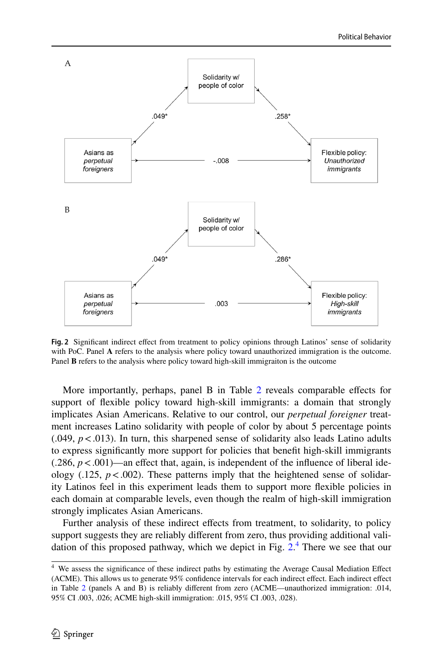

<span id="page-11-0"></span>**Fig. 2** Signifcant indirect efect from treatment to policy opinions through Latinos' sense of solidarity with PoC. Panel **A** refers to the analysis where policy toward unauthorized immigration is the outcome. Panel **B** refers to the analysis where policy toward high-skill immigraiton is the outcome

More importantly, perhaps, panel B in Table [2](#page-10-0) reveals comparable effects for support of fexible policy toward high-skill immigrants: a domain that strongly implicates Asian Americans. Relative to our control, our *perpetual foreigner* treatment increases Latino solidarity with people of color by about 5 percentage points  $(0.049, p < 0.013)$ . In turn, this sharpened sense of solidarity also leads Latino adults to express signifcantly more support for policies that beneft high-skill immigrants  $(0.286, p < 0.001)$ —an effect that, again, is independent of the influence of liberal ideology (.125,  $p < .002$ ). These patterns imply that the heightened sense of solidarity Latinos feel in this experiment leads them to support more fexible policies in each domain at comparable levels, even though the realm of high-skill immigration strongly implicates Asian Americans.

Further analysis of these indirect efects from treatment, to solidarity, to policy support suggests they are reliably diferent from zero, thus providing additional validation of this proposed pathway, which we depict in Fig. [2.](#page-11-0) [4](#page-11-1) There we see that our

<span id="page-11-1"></span><sup>&</sup>lt;sup>4</sup> We assess the significance of these indirect paths by estimating the Average Causal Mediation Effect (ACME). This allows us to generate 95% confdence intervals for each indirect efect. Each indirect efect in Table [2](#page-10-0) (panels A and B) is reliably diferent from zero (ACME—unauthorized immigration: .014, 95% CI .003, .026; ACME high-skill immigration: .015, 95% CI .003, .028).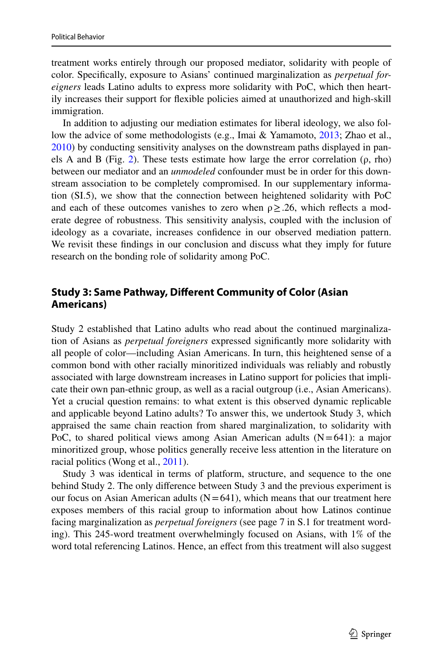treatment works entirely through our proposed mediator, solidarity with people of color. Specifcally, exposure to Asians' continued marginalization as *perpetual foreigners* leads Latino adults to express more solidarity with PoC, which then heartily increases their support for fexible policies aimed at unauthorized and high-skill immigration.

In addition to adjusting our mediation estimates for liberal ideology, we also follow the advice of some methodologists (e.g., Imai & Yamamoto, [2013;](#page-20-20) Zhao et al., [2010](#page-21-23)) by conducting sensitivity analyses on the downstream paths displayed in pan-els A and B (Fig. [2](#page-11-0)). These tests estimate how large the error correlation  $(\rho, rho)$ between our mediator and an *unmodeled* confounder must be in order for this downstream association to be completely compromised. In our supplementary information (SI.5), we show that the connection between heightened solidarity with PoC and each of these outcomes vanishes to zero when  $\rho \geq 26$ , which reflects a moderate degree of robustness. This sensitivity analysis, coupled with the inclusion of ideology as a covariate, increases confdence in our observed mediation pattern. We revisit these fndings in our conclusion and discuss what they imply for future research on the bonding role of solidarity among PoC.

### **Study 3: Same Pathway, Diferent Community of Color (Asian Americans)**

Study 2 established that Latino adults who read about the continued marginalization of Asians as *perpetual foreigners* expressed signifcantly more solidarity with all people of color—including Asian Americans. In turn, this heightened sense of a common bond with other racially minoritized individuals was reliably and robustly associated with large downstream increases in Latino support for policies that implicate their own pan-ethnic group, as well as a racial outgroup (i.e., Asian Americans). Yet a crucial question remains: to what extent is this observed dynamic replicable and applicable beyond Latino adults? To answer this, we undertook Study 3, which appraised the same chain reaction from shared marginalization, to solidarity with PoC, to shared political views among Asian American adults  $(N=641)$ : a major minoritized group, whose politics generally receive less attention in the literature on racial politics (Wong et al., [2011\)](#page-21-24).

Study 3 was identical in terms of platform, structure, and sequence to the one behind Study 2. The only diference between Study 3 and the previous experiment is our focus on Asian American adults  $(N=641)$ , which means that our treatment here exposes members of this racial group to information about how Latinos continue facing marginalization as *perpetual foreigners* (see page 7 in S.1 for treatment wording). This 245-word treatment overwhelmingly focused on Asians, with 1% of the word total referencing Latinos. Hence, an efect from this treatment will also suggest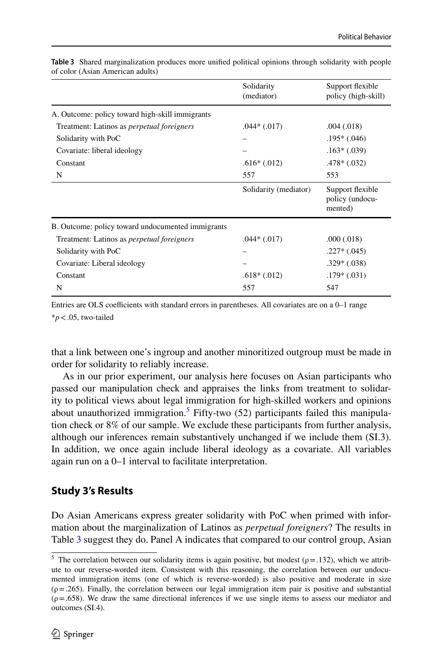|                                                   | Solidarity<br>(mediator) | Support flexible<br>policy (high-skill)        |
|---------------------------------------------------|--------------------------|------------------------------------------------|
| A. Outcome: policy toward high-skill immigrants   |                          |                                                |
| Treatment: Latinos as <i>perpetual foreigners</i> | $.044*(.017)$            | .004(.018)                                     |
| Solidarity with PoC                               |                          | $.195*(.046)$                                  |
| Covariate: liberal ideology                       |                          | $.163*(.039)$                                  |
| Constant                                          | $.616*(.012)$            | $.478*(.032)$                                  |
| N                                                 | 557                      | 553                                            |
|                                                   | Solidarity (mediator)    | Support flexible<br>policy (undocu-<br>mented) |
| B. Outcome: policy toward undocumented immigrants |                          |                                                |
| Treatment: Latinos as <i>perpetual foreigners</i> | $.044*(.017)$            | .000(.018)                                     |
| Solidarity with PoC                               |                          | $.227*(.045)$                                  |
| Covariate: Liberal ideology                       |                          | $.329*(.038)$                                  |
| Constant                                          | $.618*(.012)$            | $.179*(.031)$                                  |
| N                                                 | 557                      | 547                                            |

<span id="page-13-1"></span>**Table 3** Shared marginalization produces more unifed political opinions through solidarity with people of color (Asian American adults)

Entries are OLS coefficients with standard errors in parentheses. All covariates are on a 0–1 range \**p*<.05, two-tailed

that a link between one's ingroup and another minoritized outgroup must be made in order for solidarity to reliably increase.

As in our prior experiment, our analysis here focuses on Asian participants who passed our manipulation check and appraises the links from treatment to solidarity to political views about legal immigration for high-skilled workers and opinions about unauthorized immigration.<sup>[5](#page-13-0)</sup> Fifty-two (52) participants failed this manipulation check or 8% of our sample. We exclude these participants from further analysis, although our inferences remain substantively unchanged if we include them (SI.3). In addition, we once again include liberal ideology as a covariate. All variables again run on a 0–1 interval to facilitate interpretation.

# **Study 3's Results**

Do Asian Americans express greater solidarity with PoC when primed with information about the marginalization of Latinos as *perpetual foreigners*? The results in Table [3](#page-13-1) suggest they do. Panel A indicates that compared to our control group, Asian

<span id="page-13-0"></span><sup>&</sup>lt;sup>5</sup> The correlation between our solidarity items is again positive, but modest ( $\rho$  = .132), which we attribute to our reverse-worded item. Consistent with this reasoning, the correlation between our undocumented immigration items (one of which is reverse-worded) is also positive and moderate in size  $(p=.265)$ . Finally, the correlation between our legal immigration item pair is positive and substantial  $(\rho = .658)$ . We draw the same directional inferences if we use single items to assess our mediator and outcomes (SI.4).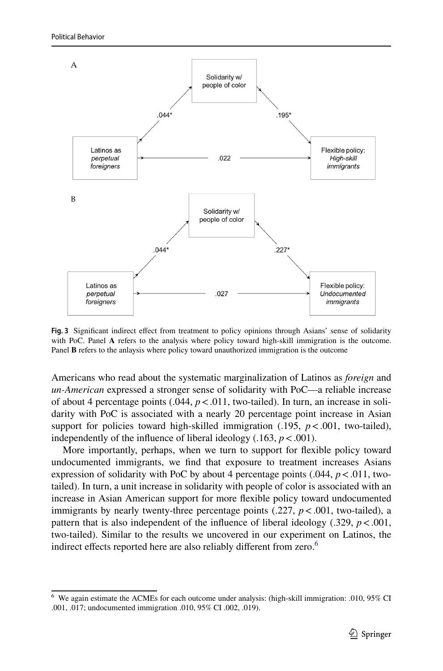

<span id="page-14-1"></span>**Fig. 3** Signifcant indirect efect from treatment to policy opinions through Asians' sense of solidarity with PoC. Panel **A** refers to the analysis where policy toward high-skill immigration is the outcome. Panel **B** refers to the anlaysis where policy toward unauthorized immigration is the outcome

Americans who read about the systematic marginalization of Latinos as *foreign* and *un-American* expressed a stronger sense of solidarity with PoC—a reliable increase of about 4 percentage points  $(.044, p < .011,$  two-tailed). In turn, an increase in solidarity with PoC is associated with a nearly 20 percentage point increase in Asian support for policies toward high-skilled immigration (.195, *p*<.001, two-tailed), independently of the influence of liberal ideology  $(.163, p < .001)$ .

More importantly, perhaps, when we turn to support for fexible policy toward undocumented immigrants, we fnd that exposure to treatment increases Asians expression of solidarity with PoC by about 4 percentage points  $(.044, p < .011,$  twotailed). In turn, a unit increase in solidarity with people of color is associated with an increase in Asian American support for more fexible policy toward undocumented immigrants by nearly twenty-three percentage points  $(.227, p < .001,$  two-tailed), a pattern that is also independent of the influence of liberal ideology  $(.329, p < .001,$ two-tailed). Similar to the results we uncovered in our experiment on Latinos, the indirect effects reported here are also reliably different from zero.<sup>[6](#page-14-0)</sup>

<span id="page-14-0"></span><sup>6</sup> We again estimate the ACMEs for each outcome under analysis: (high-skill immigration: .010, 95% CI .001, .017; undocumented immigration .010, 95% CI .002, .019).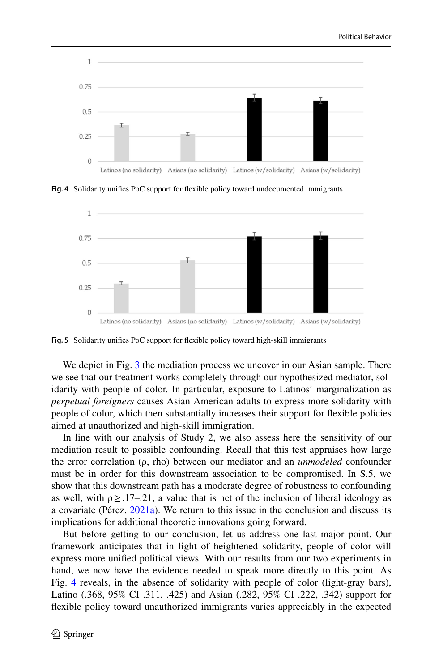

<span id="page-15-0"></span>**Fig. 4** Solidarity unifes PoC support for fexible policy toward undocumented immigrants



<span id="page-15-1"></span>**Fig. 5** Solidarity unifes PoC support for fexible policy toward high-skill immigrants

We depict in Fig. [3](#page-14-1) the mediation process we uncover in our Asian sample. There we see that our treatment works completely through our hypothesized mediator, solidarity with people of color. In particular, exposure to Latinos' marginalization as *perpetual foreigners* causes Asian American adults to express more solidarity with people of color, which then substantially increases their support for fexible policies aimed at unauthorized and high-skill immigration.

In line with our analysis of Study 2, we also assess here the sensitivity of our mediation result to possible confounding. Recall that this test appraises how large the error correlation (ρ, rho) between our mediator and an *unmodeled* confounder must be in order for this downstream association to be compromised. In S.5, we show that this downstream path has a moderate degree of robustness to confounding as well, with  $\rho \geq 0.17-0.21$ , a value that is net of the inclusion of liberal ideology as a covariate (Pérez, [2021a](#page-21-1)). We return to this issue in the conclusion and discuss its implications for additional theoretic innovations going forward.

But before getting to our conclusion, let us address one last major point. Our framework anticipates that in light of heightened solidarity, people of color will express more unifed political views. With our results from our two experiments in hand, we now have the evidence needed to speak more directly to this point. As Fig. [4](#page-15-0) reveals, in the absence of solidarity with people of color (light-gray bars), Latino (.368, 95% CI .311, .425) and Asian (.282, 95% CI .222, .342) support for fexible policy toward unauthorized immigrants varies appreciably in the expected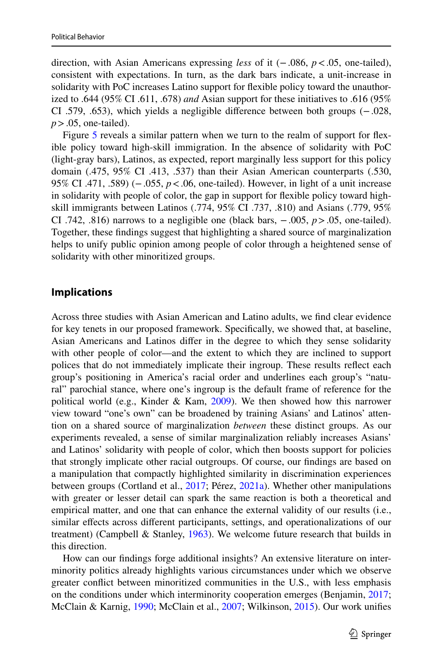direction, with Asian Americans expressing *less* of it (−.086, *p*<.05, one-tailed), consistent with expectations. In turn, as the dark bars indicate, a unit-increase in solidarity with PoC increases Latino support for fexible policy toward the unauthorized to .644 (95% CI .611, .678) *and* Asian support for these initiatives to .616 (95% CI .579, .653), which yields a negligible diference between both groups (−.028, *p*>.05, one-tailed).

Figure [5](#page-15-1) reveals a similar pattern when we turn to the realm of support for fexible policy toward high-skill immigration. In the absence of solidarity with PoC (light-gray bars), Latinos, as expected, report marginally less support for this policy domain (.475, 95% CI .413, .537) than their Asian American counterparts (.530, 95% CI .471, .589) (−.055, *p* <.06, one-tailed). However, in light of a unit increase in solidarity with people of color, the gap in support for fexible policy toward highskill immigrants between Latinos (.774, 95% CI .737, .810) and Asians (.779, 95% CI .742, .816) narrows to a negligible one (black bars, −.005, *p*>.05, one-tailed). Together, these fndings suggest that highlighting a shared source of marginalization helps to unify public opinion among people of color through a heightened sense of solidarity with other minoritized groups.

#### **Implications**

Across three studies with Asian American and Latino adults, we fnd clear evidence for key tenets in our proposed framework. Specifcally, we showed that, at baseline, Asian Americans and Latinos difer in the degree to which they sense solidarity with other people of color—and the extent to which they are inclined to support polices that do not immediately implicate their ingroup. These results refect each group's positioning in America's racial order and underlines each group's "natural" parochial stance, where one's ingroup is the default frame of reference for the political world (e.g., Kinder & Kam, [2009](#page-20-13)). We then showed how this narrower view toward "one's own" can be broadened by training Asians' and Latinos' attention on a shared source of marginalization *between* these distinct groups. As our experiments revealed, a sense of similar marginalization reliably increases Asians' and Latinos' solidarity with people of color, which then boosts support for policies that strongly implicate other racial outgroups. Of course, our fndings are based on a manipulation that compactly highlighted similarity in discrimination experiences between groups (Cortland et al., [2017](#page-20-10); Pérez, [2021a\)](#page-21-1). Whether other manipulations with greater or lesser detail can spark the same reaction is both a theoretical and empirical matter, and one that can enhance the external validity of our results (i.e., similar efects across diferent participants, settings, and operationalizations of our treatment) (Campbell & Stanley, [1963\)](#page-19-5). We welcome future research that builds in this direction.

How can our fndings forge additional insights? An extensive literature on interminority politics already highlights various circumstances under which we observe greater confict between minoritized communities in the U.S., with less emphasis on the conditions under which interminority cooperation emerges (Benjamin, [2017;](#page-19-0) McClain & Karnig, [1990](#page-20-0); McClain et al., [2007;](#page-20-1) Wilkinson, [2015](#page-21-3)). Our work unifes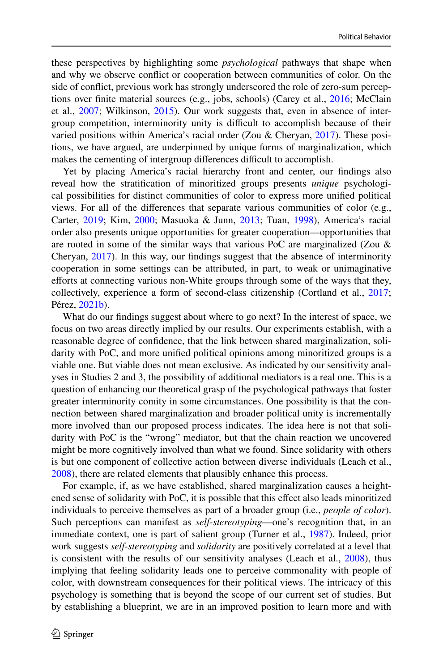these perspectives by highlighting some *psychological* pathways that shape when and why we observe confict or cooperation between communities of color. On the side of confict, previous work has strongly underscored the role of zero-sum perceptions over fnite material sources (e.g., jobs, schools) (Carey et al., [2016](#page-20-4); McClain et al., [2007](#page-20-1); Wilkinson, [2015\)](#page-21-3). Our work suggests that, even in absence of intergroup competition, interminority unity is difficult to accomplish because of their varied positions within America's racial order (Zou & Cheryan, [2017\)](#page-22-0). These positions, we have argued, are underpinned by unique forms of marginalization, which makes the cementing of intergroup differences difficult to accomplish.

Yet by placing America's racial hierarchy front and center, our fndings also reveal how the stratifcation of minoritized groups presents *unique* psychological possibilities for distinct communities of color to express more unifed political views. For all of the diferences that separate various communities of color (e.g., Carter, [2019](#page-20-5); Kim, [2000;](#page-20-2) Masuoka & Junn, [2013;](#page-20-3) Tuan, [1998](#page-21-8)), America's racial order also presents unique opportunities for greater cooperation—opportunities that are rooted in some of the similar ways that various PoC are marginalized (Zou & Cheryan, [2017\)](#page-22-0). In this way, our fndings suggest that the absence of interminority cooperation in some settings can be attributed, in part, to weak or unimaginative efforts at connecting various non-White groups through some of the ways that they, collectively, experience a form of second-class citizenship (Cortland et al., [2017;](#page-20-10) Pérez, [2021b](#page-21-4)).

What do our fndings suggest about where to go next? In the interest of space, we focus on two areas directly implied by our results. Our experiments establish, with a reasonable degree of confdence, that the link between shared marginalization, solidarity with PoC, and more unifed political opinions among minoritized groups is a viable one. But viable does not mean exclusive. As indicated by our sensitivity analyses in Studies 2 and 3, the possibility of additional mediators is a real one. This is a question of enhancing our theoretical grasp of the psychological pathways that foster greater interminority comity in some circumstances. One possibility is that the connection between shared marginalization and broader political unity is incrementally more involved than our proposed process indicates. The idea here is not that solidarity with PoC is the "wrong" mediator, but that the chain reaction we uncovered might be more cognitively involved than what we found. Since solidarity with others is but one component of collective action between diverse individuals (Leach et al., [2008](#page-20-12)), there are related elements that plausibly enhance this process.

For example, if, as we have established, shared marginalization causes a heightened sense of solidarity with PoC, it is possible that this effect also leads minoritized individuals to perceive themselves as part of a broader group (i.e., *people of color*). Such perceptions can manifest as *self-stereotyping*—one's recognition that, in an immediate context, one is part of salient group (Turner et al., [1987](#page-21-13)). Indeed, prior work suggests *self-stereotyping* and *solidarity* are positively correlated at a level that is consistent with the results of our sensitivity analyses (Leach et al., [2008](#page-20-12)), thus implying that feeling solidarity leads one to perceive commonality with people of color, with downstream consequences for their political views. The intricacy of this psychology is something that is beyond the scope of our current set of studies. But by establishing a blueprint, we are in an improved position to learn more and with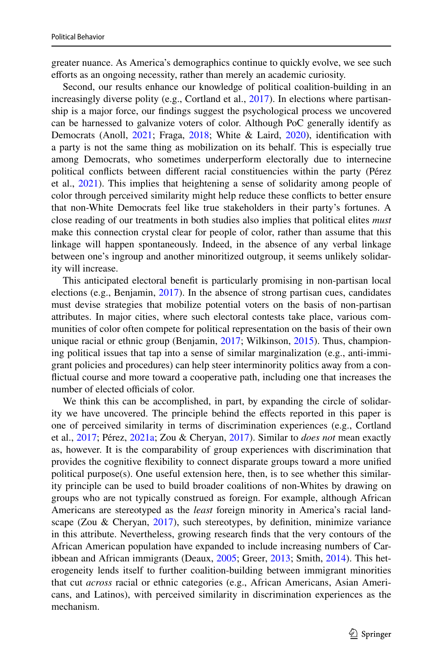greater nuance. As America's demographics continue to quickly evolve, we see such eforts as an ongoing necessity, rather than merely an academic curiosity.

Second, our results enhance our knowledge of political coalition-building in an increasingly diverse polity (e.g., Cortland et al., [2017](#page-20-10)). In elections where partisanship is a major force, our fndings suggest the psychological process we uncovered can be harnessed to galvanize voters of color. Although PoC generally identify as Democrats (Anoll, [2021](#page-19-6); Fraga, [2018;](#page-20-21) White & Laird, [2020](#page-21-25)), identifcation with a party is not the same thing as mobilization on its behalf. This is especially true among Democrats, who sometimes underperform electorally due to internecine political conficts between diferent racial constituencies within the party (Pérez et al., [2021\)](#page-21-26). This implies that heightening a sense of solidarity among people of color through perceived similarity might help reduce these conficts to better ensure that non-White Democrats feel like true stakeholders in their party's fortunes. A close reading of our treatments in both studies also implies that political elites *must* make this connection crystal clear for people of color, rather than assume that this linkage will happen spontaneously. Indeed, in the absence of any verbal linkage between one's ingroup and another minoritized outgroup, it seems unlikely solidarity will increase.

This anticipated electoral beneft is particularly promising in non-partisan local elections (e.g., Benjamin, [2017\)](#page-19-0). In the absence of strong partisan cues, candidates must devise strategies that mobilize potential voters on the basis of non-partisan attributes. In major cities, where such electoral contests take place, various communities of color often compete for political representation on the basis of their own unique racial or ethnic group (Benjamin, [2017;](#page-19-0) Wilkinson, [2015\)](#page-21-3). Thus, championing political issues that tap into a sense of similar marginalization (e.g., anti-immigrant policies and procedures) can help steer interminority politics away from a confictual course and more toward a cooperative path, including one that increases the number of elected officials of color.

We think this can be accomplished, in part, by expanding the circle of solidarity we have uncovered. The principle behind the effects reported in this paper is one of perceived similarity in terms of discrimination experiences (e.g., Cortland et al., [2017;](#page-20-10) Pérez, [2021a](#page-21-1); Zou & Cheryan, [2017\)](#page-22-0). Similar to *does not* mean exactly as, however. It is the comparability of group experiences with discrimination that provides the cognitive fexibility to connect disparate groups toward a more unifed political purpose(s). One useful extension here, then, is to see whether this similarity principle can be used to build broader coalitions of non-Whites by drawing on groups who are not typically construed as foreign. For example, although African Americans are stereotyped as the *least* foreign minority in America's racial landscape (Zou & Cheryan,  $2017$ ), such stereotypes, by definition, minimize variance in this attribute. Nevertheless, growing research fnds that the very contours of the African American population have expanded to include increasing numbers of Caribbean and African immigrants (Deaux, [2005;](#page-20-22) Greer, [2013](#page-20-23); Smith, [2014](#page-21-27)). This heterogeneity lends itself to further coalition-building between immigrant minorities that cut *across* racial or ethnic categories (e.g., African Americans, Asian Americans, and Latinos), with perceived similarity in discrimination experiences as the mechanism.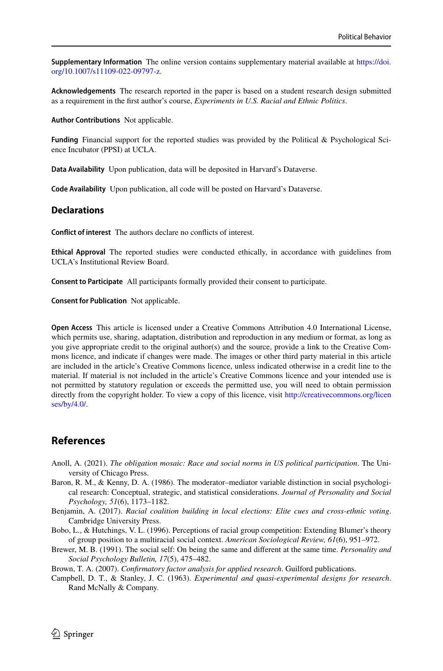**Supplementary Information** The online version contains supplementary material available at [https://doi.](https://doi.org/10.1007/s11109-022-09797-z) [org/10.1007/s11109-022-09797-z.](https://doi.org/10.1007/s11109-022-09797-z)

**Acknowledgements** The research reported in the paper is based on a student research design submitted as a requirement in the frst author's course, *Experiments in U.S. Racial and Ethnic Politics*.

**Author Contributions** Not applicable.

**Funding** Financial support for the reported studies was provided by the Political & Psychological Science Incubator (PPSI) at UCLA.

**Data Availability** Upon publication, data will be deposited in Harvard's Dataverse.

**Code Availability** Upon publication, all code will be posted on Harvard's Dataverse.

#### **Declarations**

**Confict of interest** The authors declare no conficts of interest.

**Ethical Approval** The reported studies were conducted ethically, in accordance with guidelines from UCLA's Institutional Review Board.

**Consent to Participate** All participants formally provided their consent to participate.

**Consent for Publication** Not applicable.

**Open Access** This article is licensed under a Creative Commons Attribution 4.0 International License, which permits use, sharing, adaptation, distribution and reproduction in any medium or format, as long as you give appropriate credit to the original author(s) and the source, provide a link to the Creative Commons licence, and indicate if changes were made. The images or other third party material in this article are included in the article's Creative Commons licence, unless indicated otherwise in a credit line to the material. If material is not included in the article's Creative Commons licence and your intended use is not permitted by statutory regulation or exceeds the permitted use, you will need to obtain permission directly from the copyright holder. To view a copy of this licence, visit [http://creativecommons.org/licen](http://creativecommons.org/licenses/by/4.0/) [ses/by/4.0/](http://creativecommons.org/licenses/by/4.0/).

#### **References**

- <span id="page-19-6"></span>Anoll, A. (2021). *The obligation mosaic: Race and social norms in US political participation*. The University of Chicago Press.
- <span id="page-19-4"></span>Baron, R. M., & Kenny, D. A. (1986). The moderator–mediator variable distinction in social psychological research: Conceptual, strategic, and statistical considerations. *Journal of Personality and Social Psychology, 51*(6), 1173–1182.
- <span id="page-19-0"></span>Benjamin, A. (2017). *Racial coalition building in local elections: Elite cues and cross-ethnic voting*. Cambridge University Press.
- <span id="page-19-1"></span>Bobo, L., & Hutchings, V. L. (1996). Perceptions of racial group competition: Extending Blumer's theory of group position to a multiracial social context. *American Sociological Review, 61*(6), 951–972.
- <span id="page-19-2"></span>Brewer, M. B. (1991). The social self: On being the same and diferent at the same time. *Personality and Social Psychology Bulletin, 17*(5), 475–482.

<span id="page-19-3"></span>Brown, T. A. (2007). *Confrmatory factor analysis for applied research*. Guilford publications.

<span id="page-19-5"></span>Campbell, D. T., & Stanley, J. C. (1963). *Experimental and quasi-experimental designs for research*. Rand McNally & Company.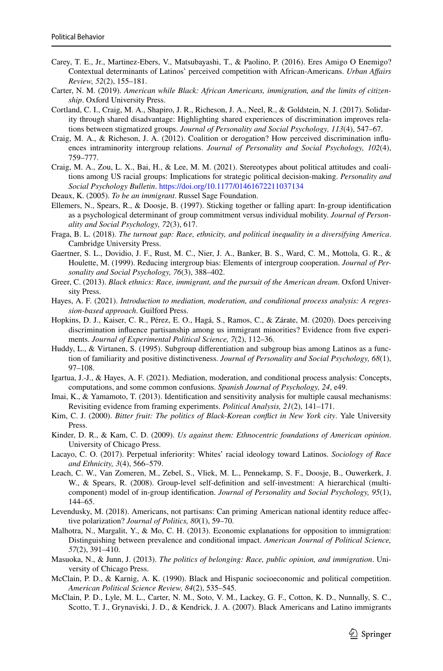- <span id="page-20-4"></span>Carey, T. E., Jr., Martinez-Ebers, V., Matsubayashi, T., & Paolino, P. (2016). Eres Amigo O Enemigo? Contextual determinants of Latinos' perceived competition with African-Americans. *Urban Afairs Review, 52*(2), 155–181.
- <span id="page-20-5"></span>Carter, N. M. (2019). *American while Black: African Americans, immigration, and the limits of citizenship*. Oxford University Press.
- <span id="page-20-10"></span>Cortland, C. I., Craig, M. A., Shapiro, J. R., Richeson, J. A., Neel, R., & Goldstein, N. J. (2017). Solidarity through shared disadvantage: Highlighting shared experiences of discrimination improves relations between stigmatized groups. *Journal of Personality and Social Psychology, 113*(4), 547–67.
- <span id="page-20-11"></span>Craig, M. A., & Richeson, J. A. (2012). Coalition or derogation? How perceived discrimination infuences intraminority intergroup relations. *Journal of Personality and Social Psychology, 102*(4), 759–777.
- <span id="page-20-16"></span>Craig, M. A., Zou, L. X., Bai, H., & Lee, M. M. (2021). Stereotypes about political attitudes and coalitions among US racial groups: Implications for strategic political decision-making. *Personality and Social Psychology Bulletin*. <https://doi.org/10.1177/01461672211037134>
- <span id="page-20-22"></span>Deaux, K. (2005). *To be an immigrant*. Russel Sage Foundation.
- <span id="page-20-14"></span>Ellemers, N., Spears, R., & Doosje, B. (1997). Sticking together or falling apart: In-group identifcation as a psychological determinant of group commitment versus individual mobility. *Journal of Personality and Social Psychology, 72*(3), 617.
- <span id="page-20-21"></span>Fraga, B. L. (2018). *The turnout gap: Race, ethnicity, and political inequality in a diversifying America*. Cambridge University Press.
- <span id="page-20-8"></span>Gaertner, S. L., Dovidio, J. F., Rust, M. C., Nier, J. A., Banker, B. S., Ward, C. M., Mottola, G. R., & Houlette, M. (1999). Reducing intergroup bias: Elements of intergroup cooperation. *Journal of Personality and Social Psychology, 76*(3), 388–402.
- <span id="page-20-23"></span>Greer, C. (2013). *Black ethnics: Race, immigrant, and the pursuit of the American dream*. Oxford University Press.
- <span id="page-20-18"></span>Hayes, A. F. (2021). *Introduction to mediation, moderation, and conditional process analysis: A regression-based approach*. Guilford Press.
- <span id="page-20-17"></span>Hopkins, D. J., Kaiser, C. R., Pérez, E. O., Hagá, S., Ramos, C., & Zárate, M. (2020). Does perceiving discrimination infuence partisanship among us immigrant minorities? Evidence from fve experiments. *Journal of Experimental Political Science, 7*(2), 112–36.
- <span id="page-20-7"></span>Huddy, L., & Virtanen, S. (1995). Subgroup diferentiation and subgroup bias among Latinos as a function of familiarity and positive distinctiveness. *Journal of Personality and Social Psychology, 68*(1), 97–108.
- <span id="page-20-19"></span>Igartua, J.-J., & Hayes, A. F. (2021). Mediation, moderation, and conditional process analysis: Concepts, computations, and some common confusions. *Spanish Journal of Psychology, 24*, e49.
- <span id="page-20-20"></span>Imai, K., & Yamamoto, T. (2013). Identifcation and sensitivity analysis for multiple causal mechanisms: Revisiting evidence from framing experiments. *Political Analysis, 21*(2), 141–171.
- <span id="page-20-2"></span>Kim, C. J. (2000). *Bitter fruit: The politics of Black-Korean confict in New York city*. Yale University Press.
- <span id="page-20-13"></span>Kinder, D. R., & Kam, C. D. (2009). *Us against them: Ethnocentric foundations of American opinion*. University of Chicago Press.
- <span id="page-20-6"></span>Lacayo, C. O. (2017). Perpetual inferiority: Whites' racial ideology toward Latinos. *Sociology of Race and Ethnicity, 3*(4), 566–579.
- <span id="page-20-12"></span>Leach, C. W., Van Zomeren, M., Zebel, S., Vliek, M. L., Pennekamp, S. F., Doosje, B., Ouwerkerk, J. W., & Spears, R. (2008). Group-level self-defnition and self-investment: A hierarchical (multicomponent) model of in-group identifcation. *Journal of Personality and Social Psychology, 95*(1), 144–65.
- <span id="page-20-9"></span>Levendusky, M. (2018). Americans, not partisans: Can priming American national identity reduce afective polarization? *Journal of Politics, 80*(1), 59–70.
- <span id="page-20-15"></span>Malhotra, N., Margalit, Y., & Mo, C. H. (2013). Economic explanations for opposition to immigration: Distinguishing between prevalence and conditional impact. *American Journal of Political Science, 57*(2), 391–410.
- <span id="page-20-3"></span>Masuoka, N., & Junn, J. (2013). *The politics of belonging: Race, public opinion, and immigration*. University of Chicago Press.
- <span id="page-20-0"></span>McClain, P. D., & Karnig, A. K. (1990). Black and Hispanic socioeconomic and political competition. *American Political Science Review, 84*(2), 535–545.
- <span id="page-20-1"></span>McClain, P. D., Lyle, M. L., Carter, N. M., Soto, V. M., Lackey, G. F., Cotton, K. D., Nunnally, S. C., Scotto, T. J., Grynaviski, J. D., & Kendrick, J. A. (2007). Black Americans and Latino immigrants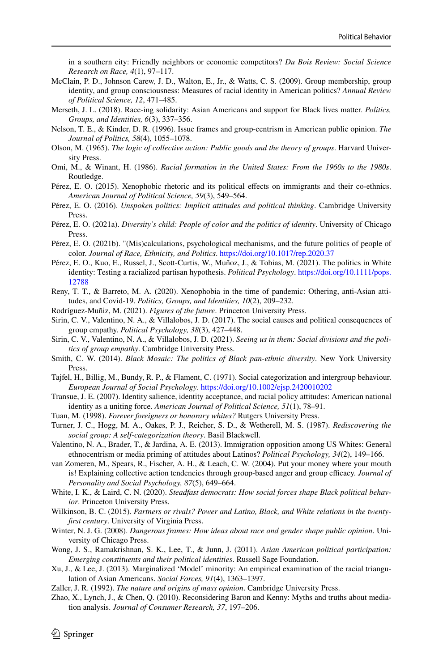in a southern city: Friendly neighbors or economic competitors? *Du Bois Review: Social Science Research on Race, 4*(1), 97–117.

- <span id="page-21-20"></span>McClain, P. D., Johnson Carew, J. D., Walton, E., Jr., & Watts, C. S. (2009). Group membership, group identity, and group consciousness: Measures of racial identity in American politics? *Annual Review of Political Science, 12*, 471–485.
- <span id="page-21-5"></span>Merseth, J. L. (2018). Race-ing solidarity: Asian Americans and support for Black lives matter. *Politics, Groups, and Identities, 6*(3), 337–356.
- <span id="page-21-18"></span>Nelson, T. E., & Kinder, D. R. (1996). Issue frames and group-centrism in American public opinion. *The Journal of Politics, 58*(4), 1055–1078.
- <span id="page-21-15"></span>Olson, M. (1965). *The logic of collective action: Public goods and the theory of groups*. Harvard University Press.
- <span id="page-21-0"></span>Omi, M., & Winant, H. (1986). *Racial formation in the United States: From the 1960s to the 1980s*. Routledge.
- <span id="page-21-11"></span>Pérez, E. O. (2015). Xenophobic rhetoric and its political efects on immigrants and their co-ethnics. *American Journal of Political Science, 59*(3), 549–564.
- <span id="page-21-21"></span>Pérez, E. O. (2016). *Unspoken politics: Implicit attitudes and political thinking*. Cambridge University Press.
- <span id="page-21-1"></span>Pérez, E. O. (2021a). *Diversity's child: People of color and the politics of identity*. University of Chicago Press.
- <span id="page-21-4"></span>Pérez, E. O. (2021b). "(Mis)calculations, psychological mechanisms, and the future politics of people of color. *Journal of Race, Ethnicity, and Politics*.<https://doi.org/10.1017/rep.2020.37>
- <span id="page-21-26"></span>Pérez, E. O., Kuo, E., Russel, J., Scott-Curtis, W., Muñoz, J., & Tobias, M. (2021). The politics in White identity: Testing a racialized partisan hypothesis. *Political Psychology*. [https://doi.org/10.1111/pops.](https://doi.org/10.1111/pops.12788) [12788](https://doi.org/10.1111/pops.12788)
- <span id="page-21-10"></span>Reny, T. T., & Barreto, M. A. (2020). Xenophobia in the time of pandemic: Othering, anti-Asian attitudes, and Covid-19. *Politics, Groups, and Identities, 10*(2), 209–232.
- <span id="page-21-2"></span>Rodríguez-Muñiz, M. (2021). *Figures of the future*. Princeton University Press.
- <span id="page-21-6"></span>Sirin, C. V., Valentino, N. A., & Villalobos, J. D. (2017). The social causes and political consequences of group empathy. *Political Psychology, 38*(3), 427–448.
- <span id="page-21-7"></span>Sirin, C. V., Valentino, N. A., & Villalobos, J. D. (2021). *Seeing us in them: Social divisions and the politics of group empathy*. Cambridge University Press.
- <span id="page-21-27"></span>Smith, C. W. (2014). *Black Mosaic: The politics of Black pan-ethnic diversity*. New York University Press.
- <span id="page-21-12"></span>Tajfel, H., Billig, M., Bundy, R. P., & Flament, C. (1971). Social categorization and intergroup behaviour. *European Journal of Social Psychology*.<https://doi.org/10.1002/ejsp.2420010202>
- <span id="page-21-14"></span>Transue, J. E. (2007). Identity salience, identity acceptance, and racial policy attitudes: American national identity as a uniting force. *American Journal of Political Science, 51*(1), 78–91.
- <span id="page-21-8"></span>Tuan, M. (1998). *Forever foreigners or honorary whites?* Rutgers University Press.
- <span id="page-21-13"></span>Turner, J. C., Hogg, M. A., Oakes, P. J., Reicher, S. D., & Wetherell, M. S. (1987). *Rediscovering the social group: A self-categorization theory*. Basil Blackwell.
- <span id="page-21-22"></span>Valentino, N. A., Brader, T., & Jardina, A. E. (2013). Immigration opposition among US Whites: General ethnocentrism or media priming of attitudes about Latinos? *Political Psychology, 34*(2), 149–166.
- <span id="page-21-16"></span>van Zomeren, M., Spears, R., Fischer, A. H., & Leach, C. W. (2004). Put your money where your mouth is! Explaining collective action tendencies through group-based anger and group efficacy. *Journal of Personality and Social Psychology, 87*(5), 649–664.
- <span id="page-21-25"></span>White, I. K., & Laird, C. N. (2020). *Steadfast democrats: How social forces shape Black political behavior*. Princeton University Press.
- <span id="page-21-3"></span>Wilkinson, B. C. (2015). *Partners or rivals? Power and Latino, Black, and White relations in the twentyfrst century*. University of Virginia Press.
- <span id="page-21-19"></span>Winter, N. J. G. (2008). *Dangerous frames: How ideas about race and gender shape public opinion*. University of Chicago Press.
- <span id="page-21-24"></span>Wong, J. S., Ramakrishnan, S. K., Lee, T., & Junn, J. (2011). *Asian American political participation: Emerging constituents and their political identities*. Russell Sage Foundation.
- <span id="page-21-9"></span>Xu, J., & Lee, J. (2013). Marginalized 'Model' minority: An empirical examination of the racial triangulation of Asian Americans. *Social Forces, 91*(4), 1363–1397.
- <span id="page-21-17"></span>Zaller, J. R. (1992). *The nature and origins of mass opinion*. Cambridge University Press.
- <span id="page-21-23"></span>Zhao, X., Lynch, J., & Chen, Q. (2010). Reconsidering Baron and Kenny: Myths and truths about mediation analysis. *Journal of Consumer Research, 37*, 197–206.